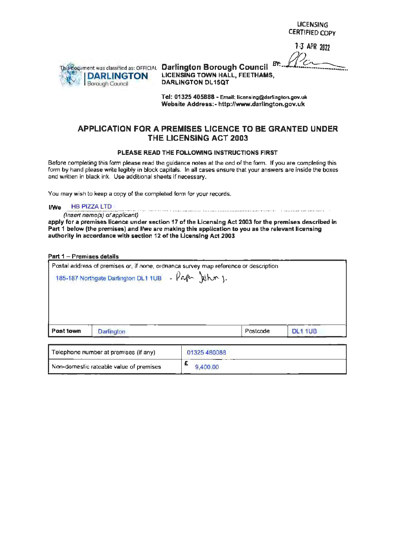LICENSING CERTIFIED COPY

1 ;3 *APR* <sup>2022</sup>



**CERTIFIED COPY**<br>
<sup>7</sup><br> **BR** 2022<br> **DARLINGTON** LICENSING TOWN HALL, FEETHAMS, **DARLINGTON LICENSING TOWN HAIR DARLINGTON DL15QT** 

> Tel: **01325 405888** • Email: licensing@darlington.gov.uk **Website Address:- http://www.darlington.gov.uk**

### **APPLICATION FOR A PREMISES LICENCE TO BE GRANTED UNDER THE LICENSING ACT 2003**

#### **PLEASE READ THE FOLLOWING INSTRUCTIONS FIRST**

Before completing this form please read the guidance notes at the end of the form. If you are completing this form by hand please write legibly in block capitals. In all cases ensure that your answers are inside the boxes and written in black ink. Use additional sheets if necessary.

You may wish to keep a copy of the completed form for your records.

**I/We** HB PIZZA LTD

(Insert name(s) of applicant)

**apply for a premises licence under section 17 of the Licensing Act 2003 for the premises described** in **Part 1 below (the premises) and I/we are making this application to you as the relevant licensing authority in accordance with section 12 of the Licensing Act 2003** 

#### **Part 1** - **Premises details**

| Postal address of premises or, if none, ordnanca survey map reference or description<br>185-187 Northgate Darlington DL1 1UB - Paper Juhn J. |          |  |
|----------------------------------------------------------------------------------------------------------------------------------------------|----------|--|
|                                                                                                                                              |          |  |
| Darlington                                                                                                                                   | Postcode |  |

| Telephone number at premises (if any)   | 01325480088 |
|-----------------------------------------|-------------|
| Non-domestic rateable value of premises | 9,400.00    |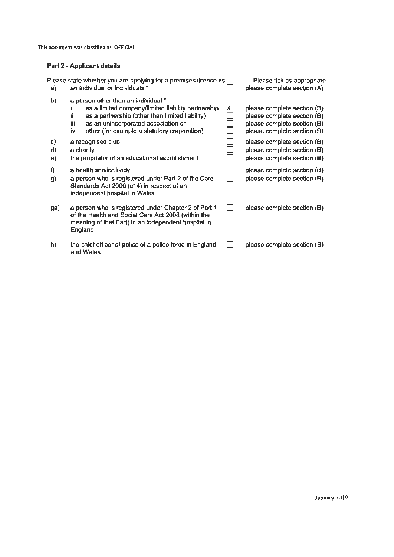### **Part 2 - Applicant details**

| a)             | Please state whether you are applying for a premises licence as<br>an individual or individuals *                                                                                                                                                      |   | Please tick as appropriate<br>please complete section (A)                                                                |
|----------------|--------------------------------------------------------------------------------------------------------------------------------------------------------------------------------------------------------------------------------------------------------|---|--------------------------------------------------------------------------------------------------------------------------|
| b)             | a person other than an individual *<br>as a limited company/limited liability partnership<br>as a partnership (other than limited liability)<br>ij.<br>iii<br>as an unincorporated association or<br>other (for example a statutory corporation)<br>İ۷ | ᢂ | please complete section (B)<br>please complete section (B)<br>please complete section (B)<br>please complete section (B) |
| C)<br>d)<br>e) | a recognised club<br>a charity.<br>the proprietor of an educational establishment                                                                                                                                                                      |   | please complete section (B)<br>please complete section (B)<br>please complete section (B)                                |
| Ŋ<br>g)        | a health service body<br>a person who is registered under Part 2 of the Care<br>Standards Act 2000 (c14) in respect of an<br>independent hospital in Wales                                                                                             |   | please complete section (B)<br>please complete section (B)                                                               |
| ga)            | a person who is registered under Chapter 2 of Part 1<br>of the Health and Social Care Act 2008 (within the<br>meaning of that Part) in an independent hospital in<br>England                                                                           |   | please complete section (B)                                                                                              |
| h)             | the chief officer of police of a police force in England<br>and Wales                                                                                                                                                                                  |   | please complete section (B)                                                                                              |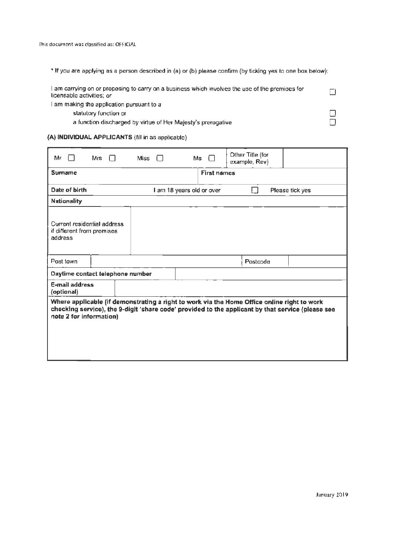• If you ate applying as a person described in (a) or (b) please confirm (by ticking yes to one box below):

| I am carrying on or proposing to carry on a business which involves the use of the premises for<br>licensable activities; or |  |
|------------------------------------------------------------------------------------------------------------------------------|--|
| I am making the application pursuant to a l                                                                                  |  |

statutory function or  $\square$ <br>
a function discharged by virtue of Her Majesty's prerogative a function discharged by virtue of Her Majesty's prerogative

### **(A) INDIVIDUAL APPLICANTS** (fill in as applicable)

| Mr                                                                   | Mrs                              | <b>Miss</b> |                           | $Ms \Box$          | Other Title (for<br>example, Rev)                                                                                                                                                                |                 |
|----------------------------------------------------------------------|----------------------------------|-------------|---------------------------|--------------------|--------------------------------------------------------------------------------------------------------------------------------------------------------------------------------------------------|-----------------|
| <b>Sumame</b>                                                        |                                  |             |                           | <b>First names</b> |                                                                                                                                                                                                  |                 |
| Date of birth                                                        |                                  |             | I am 18 years old or over |                    |                                                                                                                                                                                                  | Please tick yes |
| <b>Nationality</b>                                                   |                                  |             |                           |                    |                                                                                                                                                                                                  |                 |
| Current residential address<br>if different from premises<br>address |                                  |             |                           |                    |                                                                                                                                                                                                  |                 |
| Post town                                                            |                                  |             |                           |                    | Postcode                                                                                                                                                                                         |                 |
|                                                                      | Daytime contact telephone number |             |                           |                    |                                                                                                                                                                                                  |                 |
| <b>E-mail address</b><br>(optional)                                  |                                  |             |                           |                    |                                                                                                                                                                                                  |                 |
| note 2 for information)                                              |                                  |             |                           |                    | Where applicable (if demonstrating a right to work via the Home Office online right to work<br>checking service), the 9-digit 'share code' provided to the applicant by that service (please see |                 |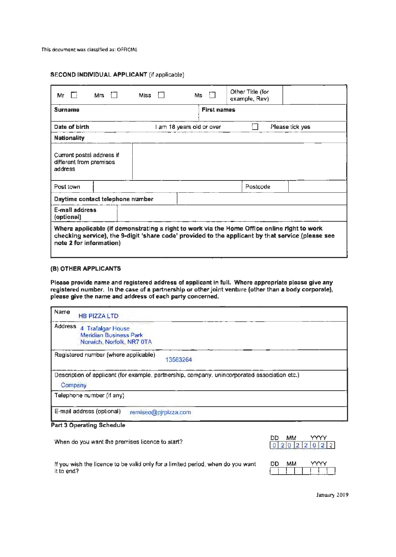| Mr<br>$\Box$                                                    | Mrs. | - f - F | <b>Miss</b> | Ms.                       |                    | Other Title (for<br>example, Rev)                                                           |                                                                                                   |
|-----------------------------------------------------------------|------|---------|-------------|---------------------------|--------------------|---------------------------------------------------------------------------------------------|---------------------------------------------------------------------------------------------------|
| <b>Surname</b>                                                  |      |         |             |                           | <b>First names</b> |                                                                                             |                                                                                                   |
| Date of birth                                                   |      |         |             | I am 18 years old or over |                    |                                                                                             | Please tick yes                                                                                   |
| <b>Nationality</b>                                              |      |         |             |                           |                    |                                                                                             |                                                                                                   |
| Current postal address if<br>different from premises<br>address |      |         |             |                           |                    |                                                                                             |                                                                                                   |
| Post town                                                       |      |         |             |                           |                    | Postcode                                                                                    |                                                                                                   |
| Daytime contact telephone number                                |      |         |             |                           |                    |                                                                                             |                                                                                                   |
| E-mail address<br>(optional)                                    |      |         |             |                           |                    |                                                                                             |                                                                                                   |
| note 2 for information)                                         |      |         |             |                           |                    | Where applicable (if demonstrating a right to work via the Home Office online right to work | checking service), the 9-digit 'share code' provided to the applicant by that service (please see |

### (8) OTHER **APPLICANTS**

**Please provide name and registered address of applicant** in **full. Where appropriate please give any registered number.** In **the case of a partnership or other joint venture (other than a body corporate), please give the name and address of each party concerned.** 

| Name    | <b>HB PIZZA LTD</b>                                                                       |                                                                                               |
|---------|-------------------------------------------------------------------------------------------|-----------------------------------------------------------------------------------------------|
| Address | <b>Trafalgar House</b><br>4<br><b>Meridian Business Park</b><br>Norwich, Norfolk, NR7 0TA |                                                                                               |
|         | Registered number (where applicable)                                                      | 13563264                                                                                      |
| Company |                                                                                           | Description of applicant (for example, partnership, company, unincorporated association etc.) |
|         | Telephone number (if any).                                                                |                                                                                               |
|         | E-mail address (optional)<br>remiseo@pjrpizza.com                                         |                                                                                               |

#### **Part 3 Operating Schedule**

When do you want the premises licence to start?

| חח                | MM. |  |  |  |
|-------------------|-----|--|--|--|
| $0$ 2 0 2 2 0 2 2 |     |  |  |  |

If you wish the licence to be valid only for a limited period, when do you want it to end?

DD MM I I I I I I I

January 2019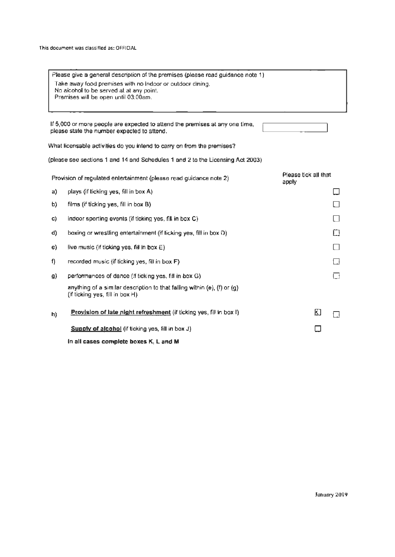|    | Please give a general description of the premises (please read guidance note 1)                             |                               |
|----|-------------------------------------------------------------------------------------------------------------|-------------------------------|
|    | Take away food premises with no indoor or outdoor dining,<br>No alcohol to be served at at any point.       |                               |
|    | Premises will be open until 03:00am.                                                                        |                               |
|    |                                                                                                             |                               |
|    | If 5,000 or more people are expected to attend the premises at any one time,                                |                               |
|    | please state the number expected to attend.                                                                 |                               |
|    | What licensable activities do you intend to carry on from the premises?                                     |                               |
|    | (please see sections 1 and 14 and Schedules 1 and 2 to the Licensing Act 2003)                              |                               |
|    | Provision of regulated entertainment (please read guidance note 2)                                          | Please tick all that<br>apply |
| a) | plays (if ticking yes, fill in box A)                                                                       |                               |
| b) | films (if ticking yes, fill in box B)                                                                       |                               |
| C) | indoor sporting events (if ticking yes, fill in box C)                                                      |                               |
| d) | boxing or wrestling entertainment (if ticking yes, fill in box D)                                           | Щ                             |
| e) | live music (if ticking yes, fill in box E)                                                                  | $\Box$                        |
| f) | recorded music (if ticking yes, fill in box F)                                                              |                               |
| g) | performances of dance (if ticking yes, fill in box G)                                                       |                               |
|    | anything of a similar description to that falling within (e), (f) or (g)<br>(if ticking yes, fill in box H) |                               |
| h) | Provision of late night refreshment (if ticking yes, fill in box I)                                         | K)                            |
|    | Supply of alcohol (if ticking yes, fill in box J)                                                           |                               |
|    | In all cases complete boxes K, L and M                                                                      |                               |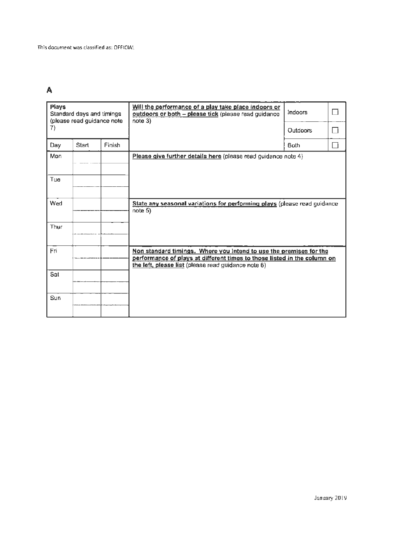# **A**

| <b>Plays</b> | Standard days and timings<br>(please read guidance note |        | Will the performance of a play take place indoors or<br>outdoors or both - please tick (please read guidance<br>$note$ 3)                                                                             | Indoors         |     |
|--------------|---------------------------------------------------------|--------|-------------------------------------------------------------------------------------------------------------------------------------------------------------------------------------------------------|-----------------|-----|
| 7)           |                                                         |        |                                                                                                                                                                                                       | <b>Outdoors</b> |     |
| Day          | Start                                                   | Finish |                                                                                                                                                                                                       | <b>Both</b>     | - 1 |
| Mon          |                                                         |        | Please give further details here (please read guidance note 4)                                                                                                                                        |                 |     |
| Tue          |                                                         |        |                                                                                                                                                                                                       |                 |     |
|              |                                                         |        |                                                                                                                                                                                                       |                 |     |
| Wed          |                                                         |        | State any seasonal variations for performing plays (please read guidance<br>note 5)                                                                                                                   |                 |     |
| Thur         |                                                         |        |                                                                                                                                                                                                       |                 |     |
| Fri          |                                                         |        | Non standard timings. Where you Intend to use the premises for the<br>performance of plays at different times to those listed in the column on<br>the left, please list (please read guidance note 6) |                 |     |
| Sat          |                                                         |        |                                                                                                                                                                                                       |                 |     |
| Sun          |                                                         |        |                                                                                                                                                                                                       |                 |     |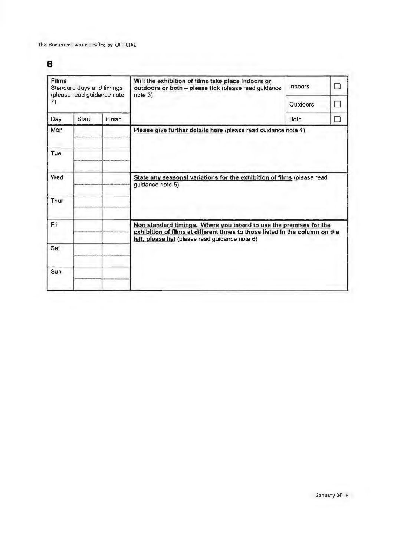# **B**

| Films<br>Standard days and timings<br>(please read guidance note |       |        | Will the exhibition of films take place indoors or<br>outdoors or both - please tick (please read guidance<br>$note$ 3)                                                                              | Indoors  |     |
|------------------------------------------------------------------|-------|--------|------------------------------------------------------------------------------------------------------------------------------------------------------------------------------------------------------|----------|-----|
| 7)                                                               |       |        |                                                                                                                                                                                                      | Outdoors | n 1 |
| Day                                                              | Start | Finish |                                                                                                                                                                                                      | Both     |     |
| Mon                                                              |       |        | Please give further details here (please read guidance note 4)                                                                                                                                       |          |     |
| Tue                                                              |       |        |                                                                                                                                                                                                      |          |     |
| Wed                                                              |       |        | State any seasonal variations for the exhibition of films (please read<br>quidance note 5)                                                                                                           |          |     |
| Thur                                                             |       |        |                                                                                                                                                                                                      |          |     |
| Fri                                                              |       |        | Non standard timings. Where you intend to use the premises for the<br>exhibition of films at different times to those listed in the column on the<br>left, please list (please read guidance note 6) |          |     |
| Sat                                                              |       |        |                                                                                                                                                                                                      |          |     |
| Sun                                                              |       |        |                                                                                                                                                                                                      |          |     |
|                                                                  |       |        |                                                                                                                                                                                                      |          |     |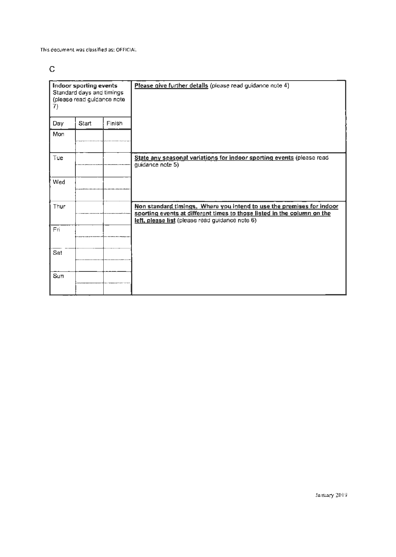# $\mathsf{C}$

| 7)             | Indoor sporting events<br>Standard days and timings<br>(please read guidance note |        | Please give further details (please read guidance note 4)                                                                                                                                           |
|----------------|-----------------------------------------------------------------------------------|--------|-----------------------------------------------------------------------------------------------------------------------------------------------------------------------------------------------------|
| Day            | <b>Start</b>                                                                      | Finish |                                                                                                                                                                                                     |
| Mon            |                                                                                   |        |                                                                                                                                                                                                     |
| Tue            |                                                                                   |        | State any seasonal variations for indoor sporting events (please read<br>guidance note 5)                                                                                                           |
| Wed            |                                                                                   |        |                                                                                                                                                                                                     |
| Thur           |                                                                                   |        | Non standard timings. Where you intend to use the premises for indoor<br>sporting events at different times to those listed in the column on the<br>left, please list (please read guidance note 6) |
| Fri            |                                                                                   |        |                                                                                                                                                                                                     |
| Sat            |                                                                                   |        |                                                                                                                                                                                                     |
| S <sub>U</sub> |                                                                                   |        |                                                                                                                                                                                                     |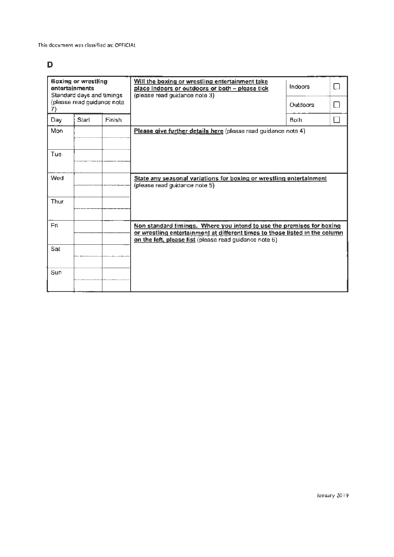# D

|      | <b>Boxing or wrestling</b><br>entertainments<br>Standard days and timings<br>(please read guidance note |               | Will the boxing or wrestling entertainment take<br>place indoors or outdoors or both - please tick<br>(please read guidance note 3)                                                                            | Indoors<br>Outdoors | ΙI |
|------|---------------------------------------------------------------------------------------------------------|---------------|----------------------------------------------------------------------------------------------------------------------------------------------------------------------------------------------------------------|---------------------|----|
| Day  | Start                                                                                                   | <b>Finish</b> |                                                                                                                                                                                                                | Both                | H  |
| Mon  |                                                                                                         |               | Please give further details here (please read guidance note 4)                                                                                                                                                 |                     |    |
| Tue  |                                                                                                         |               |                                                                                                                                                                                                                |                     |    |
| Wed  |                                                                                                         |               | State any seasonal variations for boxing or wrestling entertainment<br>(please read guidance note 5)                                                                                                           |                     |    |
| Thur |                                                                                                         |               |                                                                                                                                                                                                                |                     |    |
| Fri  |                                                                                                         |               | Non standard timings. Where you intend to use the premises for boxing<br>or wrestling entertainment at different times to those listed in the column<br>on the left, please list (please read guidance note 6) |                     |    |
| Sat  |                                                                                                         |               |                                                                                                                                                                                                                |                     |    |
| Sun  |                                                                                                         |               |                                                                                                                                                                                                                |                     |    |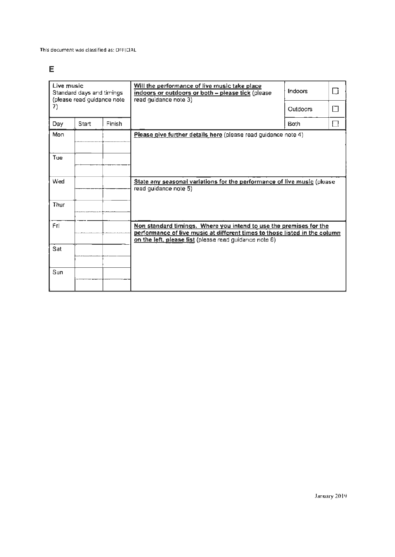# $\mathsf E$

| Live music<br>Standard days and timings<br>(please read guidance note |       |               | Will the performance of live music take place<br>indoors or outdoors or both - please tick (please<br>read guidance note 3)                                                                                | Indoors         | ⊟ |
|-----------------------------------------------------------------------|-------|---------------|------------------------------------------------------------------------------------------------------------------------------------------------------------------------------------------------------------|-----------------|---|
| 7)                                                                    |       |               |                                                                                                                                                                                                            | <b>Outdoors</b> | П |
| Day                                                                   | Start | <b>Finish</b> |                                                                                                                                                                                                            | Both            | U |
| Mon                                                                   |       |               | Please give further details here (please read guidance note 4)                                                                                                                                             |                 |   |
| Tue                                                                   |       |               |                                                                                                                                                                                                            |                 |   |
| Wed                                                                   |       |               | State any seasonal variations for the performance of live music (please<br>read guidance note 5)                                                                                                           |                 |   |
| Thur                                                                  |       |               |                                                                                                                                                                                                            |                 |   |
| Fri.                                                                  |       |               | Non standard timings. Where you intend to use the premises for the<br>performance of live music at different times to those listed in the column<br>on the left, please list (please read guidance note 6) |                 |   |
| Sat                                                                   |       |               |                                                                                                                                                                                                            |                 |   |
| Sun                                                                   |       |               |                                                                                                                                                                                                            |                 |   |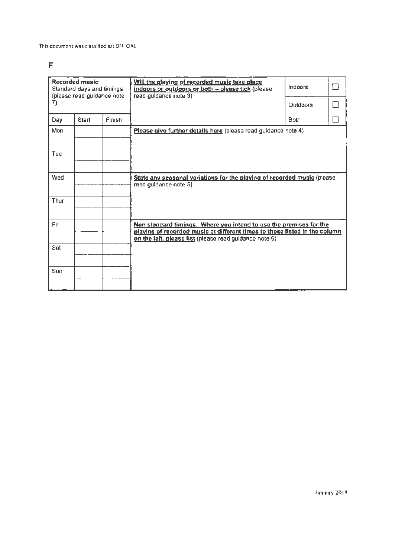# **F**

| <b>Recorded music</b><br>Standard days and timings<br>(please read guidance note |       |        | Will the playing of recorded music take place<br>Indoors<br>indoors or outdoors or both - please tick (please<br>read guidance note 3)                                                                     |                 |  |
|----------------------------------------------------------------------------------|-------|--------|------------------------------------------------------------------------------------------------------------------------------------------------------------------------------------------------------------|-----------------|--|
| 7)                                                                               |       |        |                                                                                                                                                                                                            | <b>Outdoors</b> |  |
| Day                                                                              | Start | Finish |                                                                                                                                                                                                            | <b>Both</b>     |  |
| Mon                                                                              |       |        | Please give further details here (please read guidance note 4)                                                                                                                                             |                 |  |
| Tue                                                                              |       |        |                                                                                                                                                                                                            |                 |  |
| Wed                                                                              |       |        | State any seasonal variations for the playing of recorded music (please<br>read quidance note 5)                                                                                                           |                 |  |
| Thur                                                                             |       |        |                                                                                                                                                                                                            |                 |  |
| Fri.                                                                             |       |        | Non standard timings. Where you intend to use the premises for the<br>playing of recorded music at different times to those listed in the column<br>on the left, please list (please read guidance note 6) |                 |  |
| Sat                                                                              |       |        |                                                                                                                                                                                                            |                 |  |
| Sun                                                                              |       |        |                                                                                                                                                                                                            |                 |  |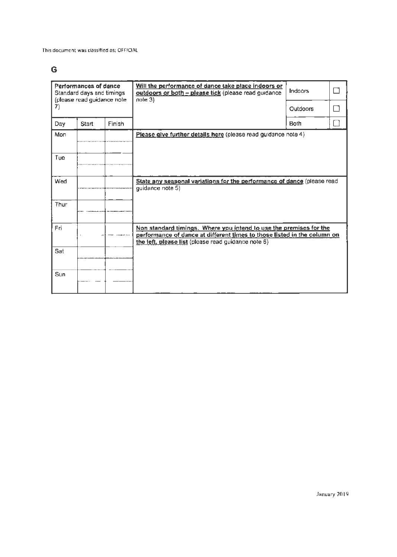# **G**

|      | Performances of dance<br>Standard days and timings<br>(please read guidance note |               | Will the performance of dance take place indoors or<br>outdoors or both - please tick (please read guidance<br>$note$ 3)                                                                              | Indoors     | П  |
|------|----------------------------------------------------------------------------------|---------------|-------------------------------------------------------------------------------------------------------------------------------------------------------------------------------------------------------|-------------|----|
| 7)   |                                                                                  |               |                                                                                                                                                                                                       | Outdoors    | רו |
| Day  | <b>Start</b>                                                                     | <b>Finish</b> |                                                                                                                                                                                                       | <b>Both</b> | ΓI |
| Mon  |                                                                                  |               | Please give further details here (please read guidance note 4)                                                                                                                                        |             |    |
| Tue  |                                                                                  |               |                                                                                                                                                                                                       |             |    |
| Wed  |                                                                                  |               | State any seasonal variations for the performance of dance (please read<br>guidance note 5)                                                                                                           |             |    |
| Thur |                                                                                  |               |                                                                                                                                                                                                       |             |    |
| Fri  |                                                                                  |               | Non standard timings. Where you intend to use the premises for the<br>performance of dance at different times to those listed in the column on<br>the left, please list (please read guidance note 6) |             |    |
| Sat  |                                                                                  |               |                                                                                                                                                                                                       |             |    |
| Sun  |                                                                                  |               |                                                                                                                                                                                                       |             |    |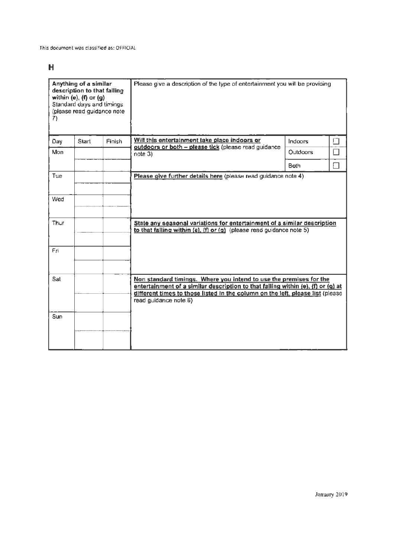# **H**

| Anything of a similar<br>description to that failing<br>within (e), $(f)$ or $(g)$<br>Standard days and timings<br>(please read guidance note<br>7) |              |        | Please give a description of the type of entertainment you will be providing                                                                                                                                                                                      |                 |        |
|-----------------------------------------------------------------------------------------------------------------------------------------------------|--------------|--------|-------------------------------------------------------------------------------------------------------------------------------------------------------------------------------------------------------------------------------------------------------------------|-----------------|--------|
| Day                                                                                                                                                 | <b>Start</b> | Finish | Will this entertainment take place indoors or<br>outdoors or both - please tick (please read guidance                                                                                                                                                             | Indoors         | П      |
| Mon                                                                                                                                                 |              |        | note 3)                                                                                                                                                                                                                                                           | <b>Outdoors</b> |        |
|                                                                                                                                                     |              |        |                                                                                                                                                                                                                                                                   | <b>Bath</b>     | $\Box$ |
| Tue                                                                                                                                                 |              |        | Please give further details here (please read guidance note 4)                                                                                                                                                                                                    |                 |        |
| Wed                                                                                                                                                 |              |        |                                                                                                                                                                                                                                                                   |                 |        |
| Thur                                                                                                                                                |              |        | State any seasonal variations for entertainment of a similar description<br>to that falling within (e), (f) or (g) (please read guidance note 5)                                                                                                                  |                 |        |
| Fri                                                                                                                                                 |              |        |                                                                                                                                                                                                                                                                   |                 |        |
| Sat                                                                                                                                                 |              |        | Non standard timings. Where you intend to use the premises for the<br>entertainment of a similar description to that falling within (e), (f) or (g) at<br>different times to those listed in the column on the left, please list (please<br>read guidance note 6) |                 |        |
| Sun                                                                                                                                                 |              |        |                                                                                                                                                                                                                                                                   |                 |        |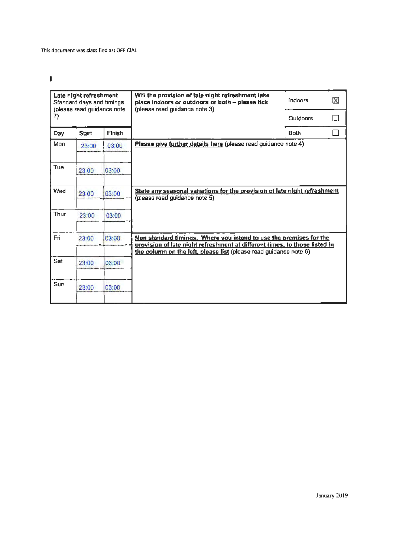$\begin{array}{c} \hline \end{array}$ 

|      | Late night refreshment<br>Standard days and timings<br>(please read guidance note |        | Will the provision of late night refreshment take<br>place indoors or outdoors or both - please tick<br>(please read guidance note 3)                                                                                 | Indoors         | X      |
|------|-----------------------------------------------------------------------------------|--------|-----------------------------------------------------------------------------------------------------------------------------------------------------------------------------------------------------------------------|-----------------|--------|
| 7)   |                                                                                   |        |                                                                                                                                                                                                                       | <b>Qutdoors</b> | $\Box$ |
| Day  | Start                                                                             | Finish |                                                                                                                                                                                                                       | <b>Both</b>     | П      |
| Mon  | 23:00                                                                             | 03:00  | Please give further details here (please read guidance note 4)                                                                                                                                                        |                 |        |
| Tue  | 23:00                                                                             | 03:00  |                                                                                                                                                                                                                       |                 |        |
| Wed  | 23:00                                                                             | 03:00  | State any seasonal variations for the provision of late night refreshment<br>(please read guidance note 5)                                                                                                            |                 |        |
| Thur | 23:00                                                                             | 03:00  |                                                                                                                                                                                                                       |                 |        |
| Fri  | 23:00                                                                             | 03:00  | Non standard timings. Where you intend to use the premises for the<br>provision of late night refreshment at different times, to those listed in<br>the column on the left, please list (please read guidance note 6) |                 |        |
| Sat  | 23:00                                                                             | 03:00  |                                                                                                                                                                                                                       |                 |        |
| Sun  | 23:00                                                                             | 03:00  |                                                                                                                                                                                                                       |                 |        |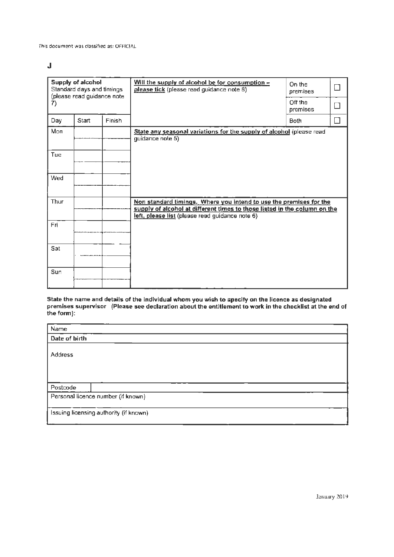J

| Supply of alcohol<br>Standard days and timings<br>(please read guidance note<br>7) |       |               | Will the supply of alcohol be for consumption -<br>please tick (please read guidance note 8)                                                                                                       | On the<br>premises<br>Off the |  |
|------------------------------------------------------------------------------------|-------|---------------|----------------------------------------------------------------------------------------------------------------------------------------------------------------------------------------------------|-------------------------------|--|
|                                                                                    |       |               |                                                                                                                                                                                                    | premises                      |  |
| Day                                                                                | Start | <b>Finish</b> |                                                                                                                                                                                                    | Both                          |  |
| Mon                                                                                |       |               | State any seasonal variations for the supply of alcohol (please read<br>quidance note 5)                                                                                                           |                               |  |
| Tue                                                                                |       |               |                                                                                                                                                                                                    |                               |  |
| Wed                                                                                |       |               |                                                                                                                                                                                                    |                               |  |
| Thur                                                                               |       |               | Non standard timings. Where you intend to use the premises for the<br>supply of alcohol at different times to those listed in the column on the<br>left, please list (please read guidance note 6) |                               |  |
| <b>Fri</b>                                                                         |       |               |                                                                                                                                                                                                    |                               |  |
| Sat                                                                                |       |               |                                                                                                                                                                                                    |                               |  |
| Sun                                                                                |       |               |                                                                                                                                                                                                    |                               |  |

State the name and details of the individual whom you wish to specify on the licence as designated<br>premises supervisor (Please see declaration about the entitlement to work in the checklist at the end of the form):

| Name                                   |  |
|----------------------------------------|--|
| Date of birth                          |  |
| <b>Address</b>                         |  |
| Postcode                               |  |
| Personal licence number (if known)     |  |
|                                        |  |
| Issuing licensing authority (if known) |  |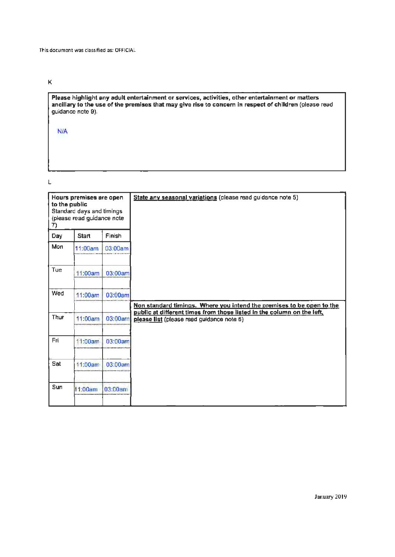K

**Please highlight any adult entertainment or services, activities, other entertainment or matters ancillary to the use of the premises that may give rise to concern** in **respect of children** (please read guidance note 9).

N/A

L

|      | Hours premises are open<br>to the public<br>Standard days and timings |         |  |
|------|-----------------------------------------------------------------------|---------|--|
| 7)   | (please read guidance note                                            |         |  |
| Day  | <b>Start</b>                                                          | Finish  |  |
| Mon  | 11:00am                                                               | 03:00am |  |
| Tue  | 11:00am                                                               | 03:00am |  |
| Wed  | 11:00am                                                               | 03:00am |  |
| Thur | 11:00am                                                               | 03:00am |  |
|      |                                                                       |         |  |
| Fri  | 11:00am                                                               | 03:00am |  |
| Sat  | 11:00am                                                               | 03:00am |  |
| Sun  | 11:00am                                                               | 03:00am |  |
|      |                                                                       |         |  |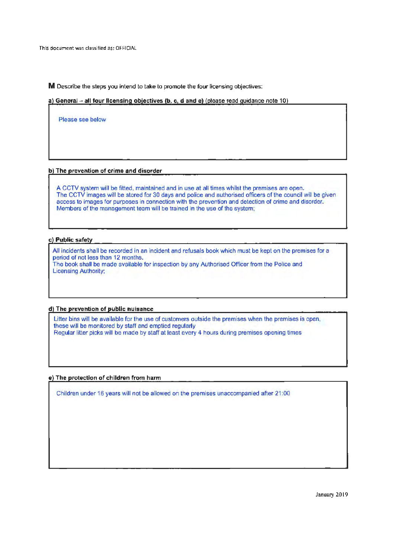**M** Describe the steps you intend to take to promote the four licensing objectives:

**a) General - all four licensing objectives (b, c d and e)** (please read guidance note 10)

Please see below

#### **bl The prevention of crime and disorder**

A CCTV system will be fitted, maintained and in use at all times whilst the premises are open. The CCTV images will be stored for 30 days and police and authorised officers of the council will be given access to images for purposes in connection with the prevention and detection of crime and disorder. Members of the management team will be trained in the use of the system:

#### **c) Public safetv**

All incidents shall be recorded in an incident and refusals book which must be kept on the premises for a period of not less than 12 months. The book shall be made available for inspection by any Authorised Officer from the Police and Licensing Authority:

#### **d) The prevention of public nuisance**

Litter bins will be available for the use of customers outside the premises when the premises is open, these will be monitored by staff and emptied regularly Regular litter picks will be made by staff at least every 4 hours during premises opening times

#### **e) The protection of children from harm**

Children under 16 years will not be allowed on the premises unaccompanied after 21 :00

January 2019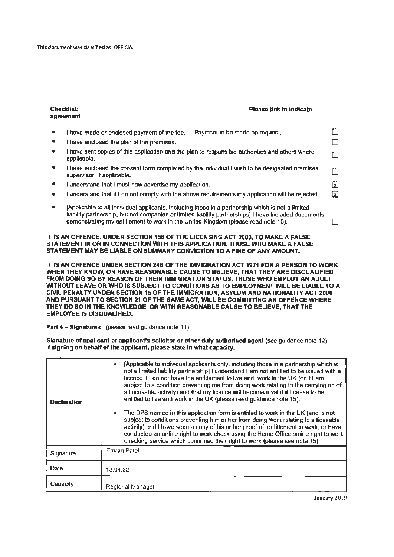| <b>Checklist:</b><br><b>Please tick to indicate</b><br>agreement                                                                                                                                                                                                                               |     |
|------------------------------------------------------------------------------------------------------------------------------------------------------------------------------------------------------------------------------------------------------------------------------------------------|-----|
| I have made or enclosed payment of the fee.<br>Payment to be made on request.                                                                                                                                                                                                                  |     |
| I have enclosed the plan of the premises.                                                                                                                                                                                                                                                      |     |
| I have sent copies of this application and the plan to responsible authorities and others where<br>applicable.                                                                                                                                                                                 |     |
| I have enclosed the consent form completed by the individual I wish to be designated premises<br>supervisor, if applicable.                                                                                                                                                                    |     |
| I understand that I must now advertise my application.                                                                                                                                                                                                                                         | ĿΣ  |
| I understand that if I do not comply with the above requirements my application will be rejected.                                                                                                                                                                                              | [x] |
| Applicable to all individual applicants, including those in a partnership which is not a limited<br>liability partnership, but not companies or limited liability partnerships] I have included documents<br>demonstrating my entitlement to work in the United Kingdom (please read note 15). |     |

IT **IS AN OFFENCE, UNDER SECTION 158 OF** THE **LICENSING ACT 2003, TO MAKE A FALSE STATEMENT IN OR IN CONNECTION WITH THIS APPLICATION. THOSE WHO MAKE A FALSE**  STATEMENT MAY BE LIABLE ON SUMMARY CONVICTION TO A FINE OF ANY AMOUNT.

IT IS AN OFFENCE UNDER SECTION 248 OF THE IMMIGRATION ACT 1971 FOR A PERSON TO WORK WHEN THEY KNOW, OR HAVE REASONABLE CAUSE TO BELIEVE, THAT THEY ARE DISQUALIFIED FROM DOING SO BY REASON OF THEIR IMMIGRATION STATUS. THOSE WHO EMPLOY AN ADULT WITHOUT LEAVE OR WHO IS SUBJECT TO CONDITIONS AS TO EMPLOYMENT WILL BE LIABLE TO A CIVIL PENALTY UNDER SECTION 15 OF THE IMMIGRATION, ASYLUM AND NATIONALITY ACT 2006 AND PURSUANT TO SECTION 21 OF THE SAME ACT, WILL BE COMMITTING AN OFFENCE WHERE THEY DO SO IN THE KNOWLEDGE, OR WITH **REASONABLE** CAUSE TO BELIEVE, THAT THE EMPLOYEE IS DISQUALIFIED.

**Part 4** - **Signatures** (please read guidance note 11)

**Signature of applicant or applicant's solicitor or other duly authorised agent** (see guidance note 12). If **signing on behalf of the applicant, please state in what capacity.** 

| <b>Declaration</b> | [Applicable to individual applicants only, including those in a partnership which is<br>not a limited liability partnership] I understand I am not entitled to be issued with a<br>licence if I do not have the entitlement to live and work in the UK (or if I am<br>subject to a condition preventing me from doing work relating to the carrying on of<br>a licensable activity) and that my licence will become invalid if I cease to be<br>entitled to live and work in the UK (please read guidance note 15).<br>The DPS named in this application form is entitled to work in the UK (and is not<br>subject to conditions preventing him or her from doing work relating to a licesable<br>activity) and I have seen a copy of his or her proof of entitlement to work, or have<br>conducted an online right to work check using the Home Office online right to work<br>checking service which confirmed their right to work (please see note 15). |
|--------------------|------------------------------------------------------------------------------------------------------------------------------------------------------------------------------------------------------------------------------------------------------------------------------------------------------------------------------------------------------------------------------------------------------------------------------------------------------------------------------------------------------------------------------------------------------------------------------------------------------------------------------------------------------------------------------------------------------------------------------------------------------------------------------------------------------------------------------------------------------------------------------------------------------------------------------------------------------------|
| Signature          | <b>Emran Patel</b>                                                                                                                                                                                                                                                                                                                                                                                                                                                                                                                                                                                                                                                                                                                                                                                                                                                                                                                                         |
| Date               | 13.04.22                                                                                                                                                                                                                                                                                                                                                                                                                                                                                                                                                                                                                                                                                                                                                                                                                                                                                                                                                   |
| Capacity           | Regional Manager                                                                                                                                                                                                                                                                                                                                                                                                                                                                                                                                                                                                                                                                                                                                                                                                                                                                                                                                           |

January 2019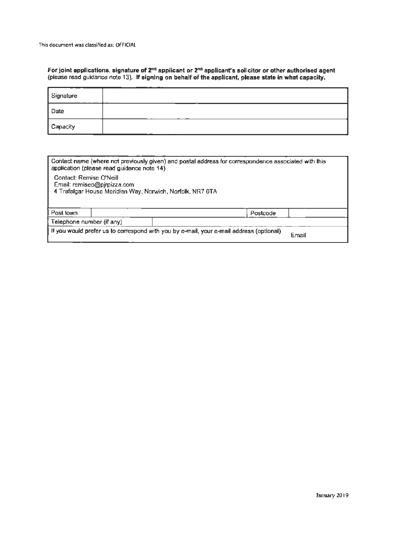**For joint applications, signature of 2nd applicant or 2nd applicant's solicitor or other authorised agent**  (please read guidance note 13). **If signing on behalf of the applicant, please state in what capacity.** 

| Signature |  |
|-----------|--|
| Date      |  |
| Capacity  |  |

| Contact name (where not previously given) and postal address for correspondence associated with this<br>application (please read guidance note 14) |  |          |  |  |  |
|----------------------------------------------------------------------------------------------------------------------------------------------------|--|----------|--|--|--|
| Contact: Remise O'Neill<br>Email: remiseo@pjrpizza.com<br>4 Trafalgar House Meridian Way, Norwich, Norfolk, NR7 0TA                                |  |          |  |  |  |
| Post town                                                                                                                                          |  | Postcode |  |  |  |
| Telephone number (if any)                                                                                                                          |  |          |  |  |  |
| If you would prefer us to correspond with you by e-mail, your e-mail address (optional)<br>Email                                                   |  |          |  |  |  |